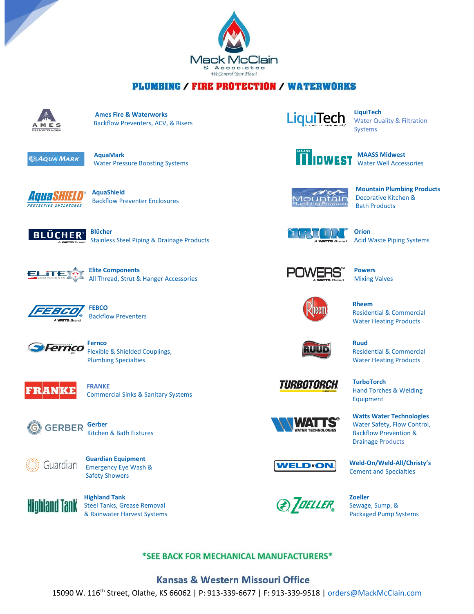

## **PLUMBING / FIRE PROTECTION / WATERWORKS**



 **Ames Fire & Waterworks** Backflow Preventers, ACV, & Risers



Water Pressure Boosting Systems



**BACKFLOW PREVENTS BACKFLOW Preventer Enclosures** 



Stainless Steel Piping & Drainage Products



All Thread, Strut & Hanger Accessories



 **FEBCO** Backflow Preventers



 Flexible & Shielded Couplings, Plumbing Specialties



 **FRANKE** Commercial Sinks & Sanitary Systems



Kitchen & Bath Fixtures



**Guardian Equipment**<br>GUAICOLAN Emergency Eve Wash Emergency Eye Wash & Safety Showers



 Steel Tanks, Grease Removal & Rainwater Harvest Systems



Water Quality & Filtration Systems



*<u>MAASS Midwest</u>* Water Well Accessories



 **Mountain Plumbing Products** Decorative Kitchen & Bath Products



 **Orion** Acid Waste Piping Systems



 **Powers** Mixing Valves



 **Rheem** Residential & Commercial Water Heating Products

 Residential & Commercial Water Heating Products





 Hand Torches & Welding Equipment

 **Watts Water Technologies** Water Safety, Flow Control, Backflow Prevention & Drainage Products



 **Weld-On/Weld-All/Christy's** Cement and Specialties



Packaged Pump Systems

### \*SEE BACK FOR MECHANICAL MANUFACTURERS\*

#### **Kansas & Western Missouri Office**

15090 W. 116<sup>th</sup> Street, Olathe, KS 66062 | P: 913-339-6677 | F: 913-339-9518 [| orders@MackMcClain.com](mailto:orders@MackMcClain.com)